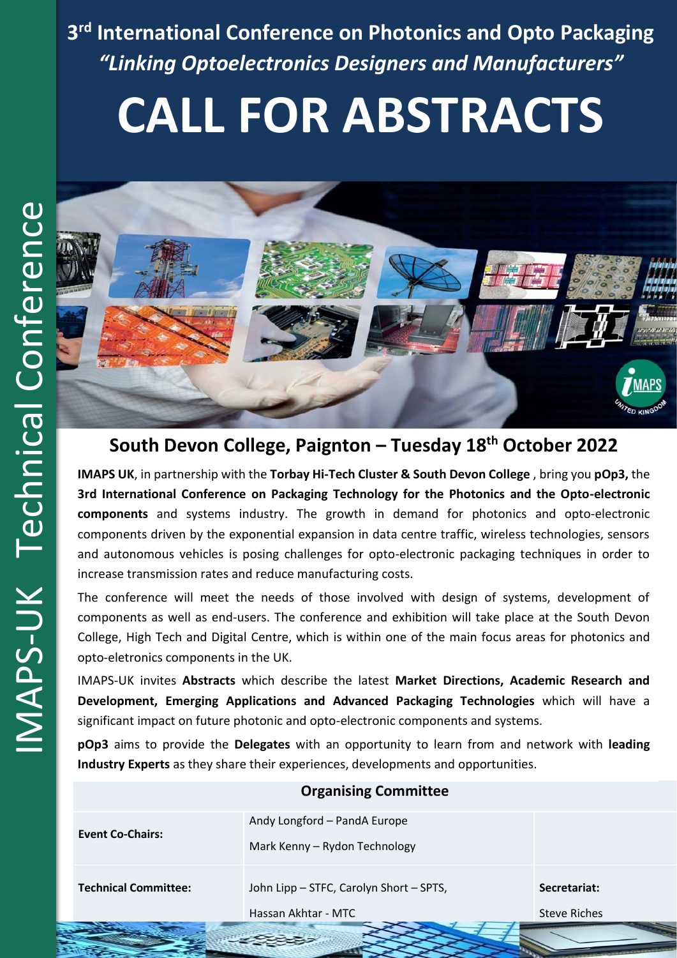**3 rd International Conference on Photonics and Opto Packaging** *"Linking Optoelectronics Designers and Manufacturers"*

# **CALL FOR ABSTRACTS**



## **South Devon College, Paignton – Tuesday 18th October 2022**

**IMAPS UK**, in partnership with the **Torbay Hi-Tech Cluster & South Devon College** , bring you **pOp3,** the **3rd International Conference on Packaging Technology for the Photonics and the Opto-electronic components** and systems industry. The growth in demand for photonics and opto-electronic components driven by the exponential expansion in data centre traffic, wireless technologies, sensors and autonomous vehicles is posing challenges for opto-electronic packaging techniques in order to increase transmission rates and reduce manufacturing costs.

The conference will meet the needs of those involved with design of systems, development of components as well as end-users. The conference and exhibition will take place at the South Devon College, High Tech and Digital Centre, which is within one of the main focus areas for photonics and opto-eletronics components in the UK.

IMAPS-UK invites **Abstracts** which describe the latest **Market Directions, Academic Research and Development, Emerging Applications and Advanced Packaging Technologies** which will have a significant impact on future photonic and opto-electronic components and systems.

**pOp3** aims to provide the **Delegates** with an opportunity to learn from and network with **leading Industry Experts** as they share their experiences, developments and opportunities.

| <b>Event Co-Chairs:</b>     | Andy Longford - PandA Europe<br>Mark Kenny - Rydon Technology  |                                     |
|-----------------------------|----------------------------------------------------------------|-------------------------------------|
| <b>Technical Committee:</b> | John Lipp - STFC, Carolyn Short - SPTS,<br>Hassan Akhtar - MTC | Secretariat:<br><b>Steve Riches</b> |
|                             |                                                                |                                     |

#### **Organising Committee**